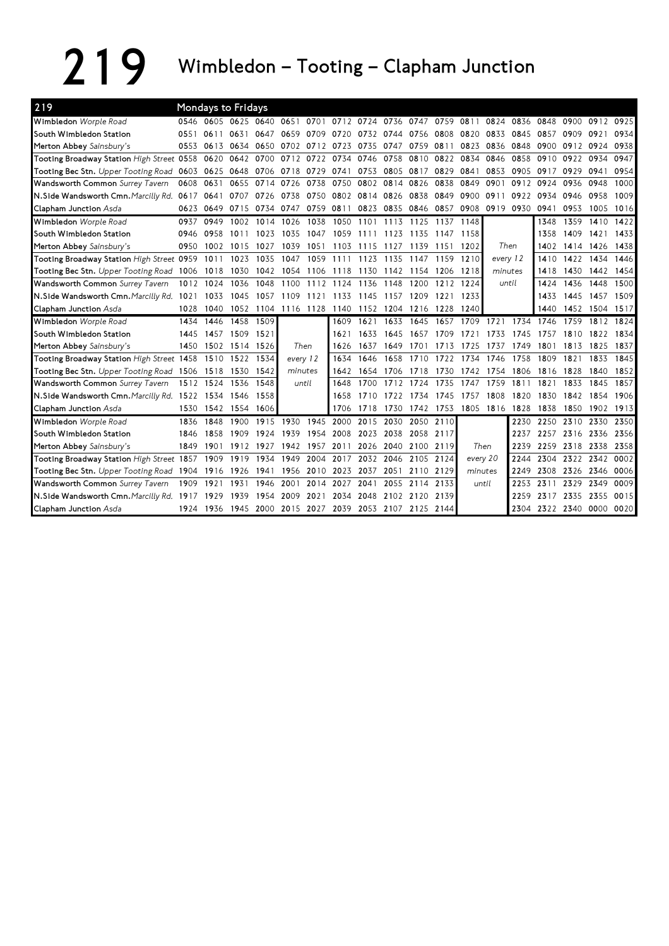## 219 Wimbledon – Tooting – Clapham Junction

| 219                                                 |           |                | <b>Mondays to Fridays</b> |           |           |           |                                                        |           |           |           |           |          |                |                |                          |           |                |      |
|-----------------------------------------------------|-----------|----------------|---------------------------|-----------|-----------|-----------|--------------------------------------------------------|-----------|-----------|-----------|-----------|----------|----------------|----------------|--------------------------|-----------|----------------|------|
| Wimbledon Worple Road                               |           |                | 0546 0605 0625 0640       |           |           |           | 0651 0701 0712 0724 0736 0747 0759 0811                |           |           |           |           |          |                | 0824 0836 0848 |                          |           | 0900 0912 0925 |      |
| South Wimbledon Station                             | 0551      | 0611           | 0631                      | 0647      | 0659      | 0709      | 0720                                                   | 0732 0744 |           | 0756      | 0808      | 0820     | 0833           | 0845           | 0857                     | 0909      | 0921           | 0934 |
| Merton Abbey Sainsbury's                            | 0553      | 0613 0634      |                           | 0650      | 0702      | 0712      | 0723                                                   | 0735 0747 |           | 0759      | 0811      | 0823     | 0836           | 0848           | 0900                     | 0912      | 0924           | 0938 |
| Tooting Broadway Station High Street 0558 0620 0642 |           |                |                           | 0700      |           | 0712 0722 | 0734                                                   | 0746 0758 |           | 0810      | 0822      | 0834     | 0846           | 0858           | 0910                     | 0922      | 0934           | 0947 |
| Tooting Bec Stn. Upper Tooting Road 0603 0625 0648  |           |                |                           | 0706      | 0718 0729 |           | 0741                                                   |           | 0753 0805 | 0817      | 0829      | 0841     | 0853           | 0905           | 0917                     | 0929      | 0941           | 0954 |
| Wandsworth Common Surrey Tavern                     | 0608 0631 |                | 0655                      | 0714      | 0726      | 0738      | 0750                                                   |           | 0802 0814 | 0826      | 0838      | 0849     | 0901           | 0912 0924      |                          | 0936      | 0948           | 1000 |
| N.Side Wandsworth Cmn. Marcilly Rd.                 | 0617      | 0641           | 0707                      | 0726      | 0738      | 0750      | 0802                                                   | 0814 0826 |           | 0838      | 0849      | 0900     | 0911           | 0922           | 0934                     | 0946      | 0958           | 1009 |
| <b>Clapham Junction</b> Asda                        | 0623      | 0649           | 0715                      | 0734      | 0747      | 0759      | 0811                                                   |           | 0823 0835 |           | 0846 0857 | 0908     | 0919           | 0930           | 0941                     | 0953      | 1005           | 1016 |
| Wimbledon Worple Road                               | 0937      | 0949           | 1002                      | 1014      | 1026      | 1038      | 1050                                                   | 1101      | 1113      | 1125      | 1137      | 1148     |                |                | 1348                     | 1359      | 1410           | 1422 |
| South Wimbledon Station                             | 0946      | 0958           | 1011                      | 1023      | 1035      | 1047      | 1059                                                   | 1111      | 1123      | 1135      | 1147      | 1158     |                |                | 1358                     | 1409      | 1421           | 1433 |
| Merton Abbey Sainsbury's                            | 0950      | 1002           | 1015                      | 1027      | 1039      | 1051      | 1103                                                   | 1115      | 1127      | 1139      | 1151      | 1202     | Then           |                | 1402                     | 1414      | 1426           | 1438 |
| Tooting Broadway Station High Street 0959           |           | 1011           | 1023                      | 1035      | 1047      | 1059      | 1111                                                   | 1123      | 1135      | 1147      | 1159      | 1210     | every 12       |                | 1410                     | 1422      | 1434           | 1446 |
| Tooting Bec Stn. Upper Tooting Road 1006 1018       |           |                | 1030                      | 1042      | 1054      | 1106      | 1118                                                   | 1130      | 1142      | 1154      | 1206      | 1218     | minutes        |                | 1418                     | 1430      | 1442           | 1454 |
| Wandsworth Common Surrey Tavern                     |           | 1012 1024      | 1036                      | 1048      | 1100      | 1112      | 1124                                                   | 1136      | 1148      | 1200      | 1212      | 1224     | until          |                | 1424                     | 1436      | 1448           | 1500 |
| N.Side Wandsworth Cmn. Marcilly Rd. 1021            |           | 1033           | 1045                      | 1057      | 1109      | 1121      | 1133                                                   | 1145      | 1157      | 1209      | 1221      | 1233     |                |                | 1433                     | 1445      | 1457           | 1509 |
| Clapham Junction Asda                               | 1028      | 1040           | 1052                      | 1104      | 1116 1128 |           | 1140                                                   |           | 1152 1204 | 1216      | 1228      | 1240     |                |                | 1440                     |           | 1452 1504 1517 |      |
| Wimbledon Worple Road                               | 1434      | 1446           | 1458                      | 1509      |           |           | 1609                                                   | 1621      | 1633      | 1645      | 1657      | 1709     | 1721           | 1734           | 1746                     | 1759      | 1812           | 1824 |
| South Wimbledon Station                             | 1445      | 1457           | 1509                      | 1521      |           |           | 1621                                                   | 1633      | 1645      | 1657      | 1709      | 1721     | 1733           | 1745           | 1757                     | 1810      | 1822           | 1834 |
| Merton Abbey Sainsbury's                            | 1450      | 1502           |                           | 1514 1526 |           | Then      | 1626                                                   | 1637      | 1649      | 1701      | 1713      | 1725     | 1737           | 1749           | 1801                     | 1813      | 1825           | 1837 |
| Tooting Broadway Station High Street 1458 1510      |           |                | 1522                      | 1534      | every 12  |           | 1634                                                   | 1646      | 1658      | 1710      | 1722      | 1734     | 1746           | 1758           | 1809                     | 1821      | 1833           | 1845 |
| Tooting Bec Stn. Upper Tooting Road 1506 1518 1530  |           |                |                           | 1542      | minutes   |           | 1642                                                   | 1654      | 1706      | 1718      | 1730      | 1742     | 1754           | 1806           | 1816                     | 1828      | 1840           | 1852 |
| Wandsworth Common Surrey Tavern                     | 1512 1524 |                | 1536                      | 1548      |           | until     | 1648                                                   | 1700      | 1712      | 1724      | 1735      | 1747     | 1759           | 1811           | 1821                     | 1833      | 1845           | 1857 |
| N.Side Wandsworth Cmn. Marcilly Rd. 1522 1534       |           |                | 1546                      | 1558      |           |           | 1658                                                   | 1710      | 1722      | 1734      | 1745      | 1757     | 1808           | 1820           | 1830                     | 1842      | 1854           | 1906 |
| Clapham Junction Asda                               |           | 1530 1542 1554 |                           | 1606      |           |           | 1706                                                   | 1718      | 1730      | 1742 1753 |           |          | 1805 1816 1828 |                | 1838                     | 1850      | 1902           | 1913 |
| Wimbledon Worple Road                               | 1836      | 1848           | 1900                      | 1915      | 1930      | 1945      | 2000                                                   | 2015 2030 |           | 2050      | 2110      |          |                | 2230           | 2250                     | 2310      | 2330           | 2350 |
| South Wimbledon Station                             | 1846      | 1858           | 1909                      | 1924      | 1939      | 1954      | 2008                                                   | 2023 2038 |           | 2058      | 2117      |          |                | 2237           | 2257                     | 2316 2336 |                | 2356 |
| Merton Abbey Sainsbury's                            | 1849      | 1901           | 1912                      | 1927      | 1942      | 1957      | 2011                                                   |           | 2026 2040 | 2100      | 2119      |          | Then           | 2239           | 2259                     | 2318 2338 |                | 2358 |
| Tooting Broadway Station High Street 1857 1909      |           |                | 1919                      | 1934      | 1949      | 2004      | 2017                                                   |           | 2032 2046 | 2105      | 2124      | every 20 |                | 2244           | 2304                     | 2322      | 2342           | 0002 |
| Tooting Bec Stn. Upper Tooting Road 1904 1916       |           |                | 1926                      | 1941      | 1956      | 2010      | 2023                                                   | 2037      | 2051      | 2110      | 2129      | minutes  |                | 2249           | 2308                     | 2326      | 2346           | 0006 |
| Wandsworth Common Surrey Tavern                     | 1909      | 1921           | 1931                      | 1946      | 2001      | 2014      | 2027                                                   | 2041      | 2055      | 2114      | 2133      |          | until          | 2253           | 2311                     | 2329      | 2349           | 0009 |
| N.Side Wandsworth Cmn, Marcilly Rd. 1917            |           | 1929           | 1939                      | 1954      | 2009      | 2021      | 2034                                                   | 2048      | 2102      | 2120      | 2139      |          |                | 2259           | 2317                     | 2335      | 2355           | 0015 |
| Clapham Junction Asda                               |           |                |                           |           |           |           | 1924 1936 1945 2000 2015 2027 2039 2053 2107 2125 2144 |           |           |           |           |          |                |                | 2304 2322 2340 0000 0020 |           |                |      |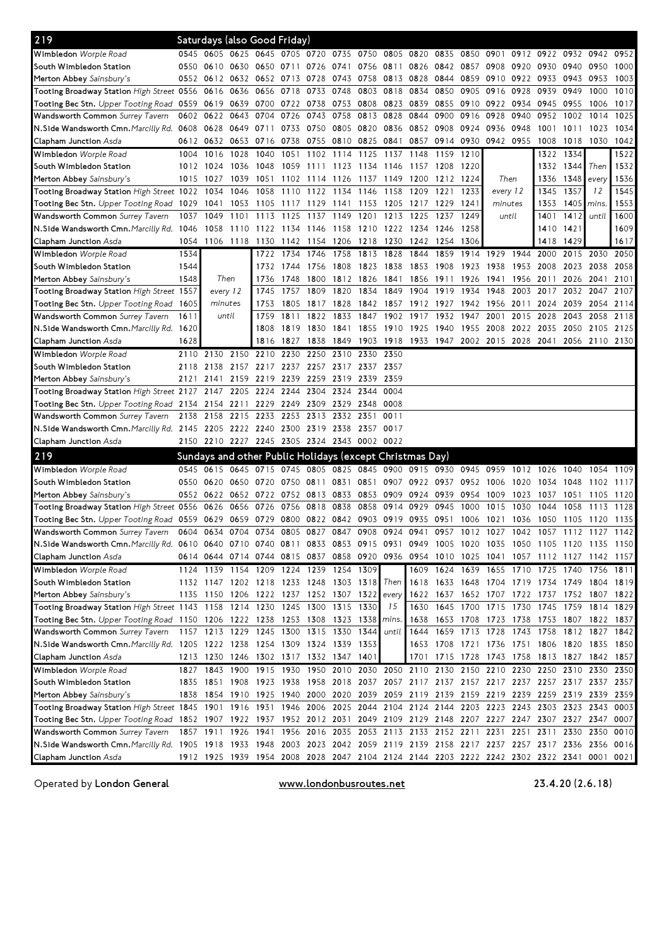| 219                                                                                                                            |      | Saturdays (also Good Friday)                                     |           |                          |      |                |                          |           |                |                |                               |                |                                                   |      |                                                                                           |           |           |      |
|--------------------------------------------------------------------------------------------------------------------------------|------|------------------------------------------------------------------|-----------|--------------------------|------|----------------|--------------------------|-----------|----------------|----------------|-------------------------------|----------------|---------------------------------------------------|------|-------------------------------------------------------------------------------------------|-----------|-----------|------|
| Wimbledon Worple Road                                                                                                          |      | 0545 0605 0625 0645 0705 0720 0735 0750 0805 0820                |           |                          |      |                |                          |           |                |                | 0835                          | 0850 0901      |                                                   |      | 0912 0922 0932 0942                                                                       |           |           | 0952 |
| South Wimbledon Station                                                                                                        | 0550 | 0610                                                             | 0630 0650 |                          | 0711 |                | 0726 0741                |           | 0756 0811 0826 |                | 0842                          | 0857           | 0908                                              | 0920 | 0930 0940                                                                                 |           | 0950      | 1000 |
| Merton Abbey Sainsbury's                                                                                                       |      | 0552 0612 0632 0652 0713 0728                                    |           |                          |      |                | 0743                     |           | 0758 0813 0828 |                | 0844                          | 0859 0910      |                                                   |      | 0922 0933 0943                                                                            |           | 0953      | 1003 |
| Tooting Broadway Station High Street 0556 0616 0636                                                                            |      |                                                                  |           | 0656                     | 0718 | 0733 0748      |                          |           | 0803 0818      | 0834           | 0850                          | 0905           | 0916                                              | 0928 | 0939                                                                                      | 0949      | 1000      | 1010 |
| Tooting Bec Stn. Upper Tooting Road 0559 0619 0639 0700                                                                        |      |                                                                  |           |                          |      | 0722 0738 0753 |                          |           | 0808 0823 0839 |                |                               | 0855 0910 0922 |                                                   | 0934 | 0945 0955                                                                                 |           | 1006      | 1017 |
| Wandsworth Common Surrey Tavern                                                                                                | 0602 | 0622                                                             | 0643 0704 |                          | 0726 | 0743 0758      |                          | 0813 0828 |                | 0844           | 0900                          | 0916           | 0928                                              | 0940 | 0952                                                                                      | 1002      | 1014      | 1025 |
| N.Side Wandsworth Cmn. Marcilly Rd. 0608                                                                                       |      | 0628 0649 0711                                                   |           |                          |      | 0733 0750 0805 |                          | 0820 0836 |                |                | 0852 0908                     | 0924           | 0936                                              | 0948 | 1001                                                                                      | 1011      | 1023      | 1034 |
| Clapham Junction Asda                                                                                                          |      | 0612 0632                                                        | 0653 0716 |                          |      |                | 0738 0755 0810 0825 0841 |           |                |                | 0857 0914 0930                |                | 0942 0955                                         |      | 1008                                                                                      | 1018      | 1030      | 1042 |
| Wimbledon Worple Road                                                                                                          | 1004 | 1016                                                             | 1028      | 1040                     | 1051 | 1102           | 1114                     | 1125      | 1137           | 1148           | 1159                          | 1210           |                                                   |      |                                                                                           | 1322 1334 |           | 1522 |
| South Wimbledon Station                                                                                                        | 1012 | 1024                                                             | 1036      | 1048                     | 1059 | 1111           | 1123                     | 1134      | 1146           | 1157           | 1208                          | 1220           |                                                   |      | 1332                                                                                      | 1344      | Then      | 1532 |
| Merton Abbey Sainsbury's                                                                                                       | 1015 | - 1027                                                           | 1039      | 1051                     | 1102 | 1114           | 1126                     | 1137      | 1149           | 1200           | 1212                          | 1224           | Then                                              |      | 1336                                                                                      | 1348      | every     | 1536 |
| Tooting Broadway Station High Street 1022 1034                                                                                 |      |                                                                  | 1046      | 1058                     | 1110 | 1122 1134      |                          | 1146      | 1158           | 1209           | 1221                          | 1233           | every 12                                          |      | 1345                                                                                      | 1357      | 12        | 1545 |
| Tooting Bec Stn. Upper Tooting Road 1029                                                                                       |      | 1041                                                             |           | 1053 1105                | 1117 | 1129 1141      |                          | 1153      |                | 1205 1217 1229 |                               | 1241           | minutes                                           |      | 1353                                                                                      | 1405      | mins.     | 1553 |
| Wandsworth Common Surrey Tavern                                                                                                |      | 1037 1049                                                        | 1101      | 1113                     |      | 1125 1137 1149 |                          | 1201      | 1213           | 1225           | 1237                          | 1249           | until                                             |      | 1401                                                                                      | 1412      | until     | 1600 |
| N.Side Wandsworth Cmn. Marcilly Rd. 1046                                                                                       |      | 1058                                                             |           | 1110 1122 1134 1146 1158 |      |                |                          |           | 1210 1222      | 1234 1246      |                               | -1258          |                                                   |      | 1410                                                                                      | 1421      |           | 1609 |
| <b>Clapham Junction</b> Asda                                                                                                   |      | 1054 1106 1118 1130                                              |           |                          |      | 1142 1154 1206 |                          | 1218      | 1230           | 1242 1254      |                               | 1306           |                                                   |      |                                                                                           | 1418 1429 |           | 1617 |
| Wimbledon Worple Road                                                                                                          | 1534 |                                                                  |           | 1722                     | 1734 | 1746           | 1758                     | 1813 1828 |                | 1844           | 1859                          | 1914           | 1929                                              | 1944 | 2000                                                                                      | 2015      | 2030      | 2050 |
| South Wimbledon Station                                                                                                        | 1544 |                                                                  |           | 1732                     | 1744 | 1756           | 1808                     | 1823 1838 |                | 1853           | 1908                          | 1923           | 1938                                              | 1953 | 2008                                                                                      | 2023      | 2038      | 2058 |
| Merton Abbey Sainsbury's                                                                                                       | 1548 | Then                                                             |           | 1736                     | 1748 | 1800           | 1812                     | 1826 1841 |                | 1856           | 1911                          | 1926           | 1941                                              | 1956 | 2011                                                                                      | 2026      | 2041      | 2101 |
| Tooting Broadway Station High Street 1557                                                                                      |      | every 12                                                         |           | 1745                     | 1757 | 1809           | 1820                     | 1834      | 1849           | 1904           | 1919                          | 1934           | 1948                                              | 2003 | 2017                                                                                      | 2032      | 2047      | 2107 |
| Tooting Bec Stn. Upper Tooting Road 1605                                                                                       |      | minutes                                                          |           | 1753                     | 1805 | 1817           | 1828                     |           | 1842 1857      |                | 1912 1927 1942 1956           |                |                                                   | 2011 | 2024 2039                                                                                 |           | 2054      | 2114 |
| Wandsworth Common Surrey Tavern                                                                                                | 1611 | until                                                            |           | 1759                     | 1811 | 1822           | 1833                     | 1847      | 1902           | 1917           | 1932                          | 1947           | 2001                                              | 2015 | 2028                                                                                      | 2043      | 2058      | 2118 |
| N.Side Wandsworth Cmn. Marcilly Rd. 1620                                                                                       |      |                                                                  |           | 1808                     | 1819 | 1830           | 1841                     | 1855      | 1910           | 1925           | 1940                          | 1955           | 2008                                              | 2022 | 2035 2050                                                                                 |           | 2105      | 2125 |
| Clapham Junction Asda                                                                                                          | 1628 |                                                                  |           | 1816                     | 1827 | 1838           | 1849                     |           |                |                | 1903 1918 1933 1947 2002 2015 |                |                                                   | 2028 | 2041                                                                                      | 2056      | 2110 2130 |      |
| Wimbledon Worple Road                                                                                                          |      | 2110 2130                                                        | 2150 2210 |                          | 2230 | 2250           | 2310                     | 2330      | 2350           |                |                               |                |                                                   |      |                                                                                           |           |           |      |
| South Wimbledon Station                                                                                                        | 2118 | 2138                                                             |           | 2157 2217 2237 2257 2317 |      |                |                          | 2337      | 2357           |                |                               |                |                                                   |      |                                                                                           |           |           |      |
| Merton Abbey Sainsbury's                                                                                                       | 2121 | 2141                                                             |           | 2159 2219                | 2239 | 2259           | 2319                     | 2339      | 2359           |                |                               |                |                                                   |      |                                                                                           |           |           |      |
| Tooting Broadway Station High Street 2127 2147 2205 2224                                                                       |      |                                                                  |           |                          | 2244 | 2304           | 2324                     | 2344      | 0004           |                |                               |                |                                                   |      |                                                                                           |           |           |      |
| Tooting Bec Stn. Upper Tooting Road 2134 2154 2211 2229                                                                        |      |                                                                  |           |                          | 2249 | 2309           | 2329                     | 2348      | 0008           |                |                               |                |                                                   |      |                                                                                           |           |           |      |
| Wandsworth Common Surrey Tavern                                                                                                | 2138 | 2158                                                             | 2215 2233 |                          | 2253 | 2313           | 2332                     | 2351      | 0011           |                |                               |                |                                                   |      |                                                                                           |           |           |      |
| N.Side Wandsworth Cmn. Marcilly Rd. 2145 2205 2222 2240                                                                        |      |                                                                  |           |                          |      | 2300 2319 2338 |                          | 2357 0017 |                |                |                               |                |                                                   |      |                                                                                           |           |           |      |
| Clapham Junction Asda                                                                                                          |      | 2150 2210 2227 2245 2305 2324 2343 0002 0022                     |           |                          |      |                |                          |           |                |                |                               |                |                                                   |      |                                                                                           |           |           |      |
| 219                                                                                                                            |      | Sundays and other Public Holidays (except Christmas Day)         |           |                          |      |                |                          |           |                |                |                               |                |                                                   |      |                                                                                           |           |           |      |
| Wimbledon Worple Road                                                                                                          |      | 0545 0615 0645 0715 0745 0805 0825 0845 0900 0915 0930 0945 0959 |           |                          |      |                |                          |           |                |                |                               |                |                                                   | 1012 | 1026                                                                                      | 1040      | 1054      | 1109 |
| South Wimbledon Station                                                                                                        | 0550 | 0620                                                             | 0650 0720 |                          |      | 0750 0811      | 0831                     | 0851      | 0907           | 0922           | 0937                          | 0952           | 1006                                              | 1020 | 1034                                                                                      | 1048      | 1102      | 1117 |
| Merton Abbey Sainsbury's                                                                                                       |      | 0552 0622 0652 0722                                              |           |                          |      | 0752 0813 0833 |                          |           | 0853 0909      | 0924           | 0939                          | 0954           | 1009                                              | 1023 | 1037                                                                                      | 1051      | 1105      | 1120 |
| Tooting Broadway Station High Street 0556                                                                                      |      | 0626                                                             | 0656 0726 |                          | 0756 | 0818           | 0838                     | 0858      | 0914           | 0929           | 0945                          | 1000           | 1015                                              | 1030 | 1044                                                                                      | 1058      | 1113      | 1128 |
| Tooting Bec Stn. Upper Tooting Road 0559 0629 0659 0729                                                                        |      |                                                                  |           |                          |      | 0800 0822 0842 |                          |           | 0903 0919 0935 |                | 0951                          | 1006 1021      |                                                   | 1036 | 1050 1105                                                                                 |           | 1120      | 1135 |
| Wandsworth Common Surrey Tavern                                                                                                |      | 0604 0634                                                        | 0704 0734 |                          |      | 0805 0827      | 0847                     |           | 0908 0924 0941 |                | 0957                          | 1012 1027      |                                                   | 1042 | 1057 1112                                                                                 |           | 1127 1142 |      |
| N.Side Wandsworth Cmn. Marcilly Rd. 0610 0640 0710 0740 0811 0833 0853 0915 0931 0949 1005 1020 1035 1050 1105 1120 1135 1150  |      |                                                                  |           |                          |      |                |                          |           |                |                |                               |                |                                                   |      |                                                                                           |           |           |      |
| Clapham Junction Asda                                                                                                          |      |                                                                  |           |                          |      |                |                          |           |                |                |                               |                |                                                   |      | 0614 0644 0714 0744 0815 0837 0858 0920 0936 0954 1010 1025 1041 1057 1112 1127 1142 1157 |           |           |      |
| Wimbledon Worple Road                                                                                                          |      | 1124 1139 1154 1209 1224 1239 1254 1309                          |           |                          |      |                |                          |           |                |                |                               |                |                                                   |      | 1609 1624 1639 1655 1710 1725 1740                                                        |           | 1756 1811 |      |
| South Wimbledon Station                                                                                                        |      | 1132 1147 1202 1218                                              |           |                          |      |                | 1233 1248 1303 1318      |           | Then           |                |                               |                |                                                   |      | 1618 1633 1648 1704 1719 1734 1749                                                        |           | 1804 1819 |      |
| Merton Abbey Sainsbury's                                                                                                       |      | 1135 1150                                                        | 1206 1222 |                          |      |                | 1237 1252 1307 1322      |           | every          |                | 1622 1637                     |                | 1652 1707 1722                                    |      | 1737 1752                                                                                 |           | 1807 1822 |      |
| Tooting Broadway Station <i>High Street</i> 1143 1158 1214 1230                                                                |      |                                                                  |           |                          |      |                | 1245 1300 1315 1330      |           | 15             |                |                               |                |                                                   |      | 1630 1645 1700 1715 1730 1745 1759 1814 1829                                              |           |           |      |
| Tooting Bec Stn. Upper Tooting Road 1150 1206 1222 1238 1253 1308 1323                                                         |      |                                                                  |           |                          |      |                |                          | 1338      | mins.          | 1638           |                               |                |                                                   |      | 1653 1708 1723 1738 1753 1807 1822 1837                                                   |           |           |      |
| Wandsworth Common Surrey Tavern                                                                                                |      | 1157 1213 1229 1245 1300 1315 1330                               |           |                          |      |                |                          | 1344      | until          |                | 1644 1659 1713 1728           |                |                                                   |      | 1743 1758 1812 1827 1842                                                                  |           |           |      |
| N. Side Wandsworth Cmn. Marcilly Rd. 1205 1222 1238 1254 1309 1324 1339                                                        |      |                                                                  |           |                          |      |                |                          | 1353      |                |                |                               |                |                                                   |      | 1653 1708 1721 1736 1751 1806 1820 1835 1850                                              |           |           |      |
| Clapham Junction Asda                                                                                                          |      | 1213 1230 1246 1302 1317 1332 1347 1401                          |           |                          |      |                |                          |           |                |                |                               |                | 1701 1715 1728 1743 1758                          |      | 1813 1827 1842 1857                                                                       |           |           |      |
| Wimbledon Worple Road                                                                                                          |      | 1827 1843                                                        | 1900 1915 |                          |      |                |                          |           |                |                |                               |                | 1930 1950 2010 2030 2050 2110 2130 2150 2210 2230 |      | 2250 2310                                                                                 |           | 2330      | 2350 |
| South Wimbledon Station                                                                                                        | 1835 | 1851                                                             |           | 1908 1923                |      |                |                          |           |                |                |                               |                |                                                   |      | 1938 1958 2018 2037 2057 2117 2137 2157 2217 2237 2257 2317 2337                          |           |           | 2357 |
| Merton Abbey Sainsbury's                                                                                                       |      |                                                                  |           |                          |      |                |                          |           |                |                |                               |                |                                                   |      | 1838 1854 1910 1925 1940 2000 2020 2039 2059 2119 2139 2159 2219 2239 2259 2319 2339 2359 |           |           |      |
| Tooting Broadway Station High Street 1845 1901 1916 1931 1946 2006 2025 2044 2104 2124 2144 2203 2223 2243 2303 2323 2343 0003 |      |                                                                  |           |                          |      |                |                          |           |                |                |                               |                |                                                   |      |                                                                                           |           |           |      |
| Tooting Bec Stn. Upper Tooting Road 1852 1907 1922 1937 1952 2012 2031 2049 2109 2129 2148 2207 2227 2247 2307 2327 2347 0007  |      |                                                                  |           |                          |      |                |                          |           |                |                |                               |                |                                                   |      |                                                                                           |           |           |      |
| Wandsworth Common Surrey Tavern                                                                                                |      |                                                                  |           |                          |      |                |                          |           |                |                |                               |                |                                                   |      | 1857 1911 1926 1941 1956 2016 2035 2053 2113 2133 2152 2211 2231 2251 2311 2330 2350 0010 |           |           |      |
| N.Side Wandsworth Cmn. Marcilly Rd. 1905 1918 1933 1948 2003 2023 2042 2059 2119 2139 2158 2217 2237 2257 2317 2336 2356 0016  |      |                                                                  |           |                          |      |                |                          |           |                |                |                               |                |                                                   |      |                                                                                           |           |           |      |
| Clapham Junction Asda                                                                                                          |      |                                                                  |           |                          |      |                |                          |           |                |                |                               |                |                                                   |      | 1912 1925 1939 1954 2008 2028 2047 2104 2124 2144 2203 2222 2242 2302 2322 2341 0001 0021 |           |           |      |

Operated by London General **www.londonbusroutes.net** 23.4.20 (2.6.18)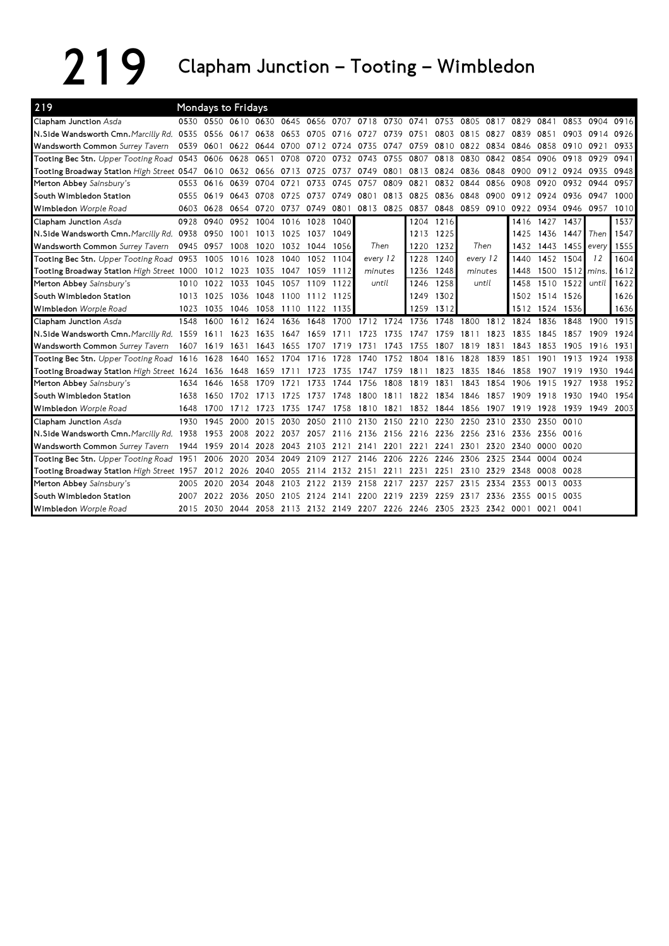## 219 Junction – Tooting – Wimbledon

| 219                                                                |      | Mondays to Fridays |           |                     |      |                |                          |                |           |                                         |           |                                                                       |      |      |                          |                 |           |      |
|--------------------------------------------------------------------|------|--------------------|-----------|---------------------|------|----------------|--------------------------|----------------|-----------|-----------------------------------------|-----------|-----------------------------------------------------------------------|------|------|--------------------------|-----------------|-----------|------|
| Clapham Junction Asda                                              |      |                    |           |                     |      |                |                          |                |           |                                         |           | 0530 0550 0610 0630 0645 0656 0707 0718 0730 0741 0753 0805 0817 0829 |      |      | 0841                     | 0853            | 0904      | 0916 |
| N.Side Wandsworth Cmn. Marcilly Rd. 0535                           |      | 0556 0617 0638     |           |                     |      | 0653 0705 0716 |                          | 0727           | 0739 0751 |                                         | 0803      | 0815 0827                                                             |      | 0839 | 0851                     | 0903            | 0914      | 0926 |
| Wandsworth Common Surrey Tavern                                    |      | 0539 0601          | 0622 0644 |                     |      | 0700 0712 0724 |                          | 0735           | 0747      | 0759                                    |           | 0810 0822                                                             | 0834 | 0846 | 0858                     | 0910            | 0921      | 0933 |
| Tooting Bec Stn. Upper Tooting Road 0543 0606                      |      |                    | 0628 0651 |                     | 0708 | 0720           |                          | 0732 0743 0755 |           | 0807                                    | 0818      | 0830                                                                  | 0842 | 0854 | 0906                     | 0918            | 0929      | 0941 |
| Tooting Broadway Station High Street 0547 0610 0632 0656           |      |                    |           |                     | 0713 | 0725           | 0737                     | 0749           | 0801      | 0813                                    | 0824      | 0836                                                                  | 0848 | 0900 | 0912 0924                |                 | 0935      | 0948 |
| Merton Abbey Sainsbury's                                           | 0553 | 0616               |           | 0639 0704           | 0721 | 0733           | 0745                     | 0757           | 0809      | 0821                                    | 0832      | 0844                                                                  | 0856 | 0908 | 0920                     | 0932            | 0944      | 0957 |
| South Wimbledon Station                                            | 0555 | 0619               | 0643 0708 |                     | 0725 | 0737           | 0749                     | 0801           | 0813      | 0825                                    | 0836      | 0848                                                                  | 0900 | 0912 | 0924                     | 0936            | 0947      | 1000 |
| Wimbledon Worple Road                                              | 0603 | 0628               | 0654 0720 |                     | 0737 |                | 0749 0801                |                | 0813 0825 | 0837                                    | 0848      |                                                                       |      |      | 0859 0910 0922 0934 0946 |                 | 0957      | 1010 |
| Clapham Junction Asda                                              | 0928 | 0940               | 0952      | 1004                | 1016 | 1028           | 1040                     |                |           | 1204                                    | 1216      |                                                                       |      | 1416 | 1427                     | 1437            |           | 1537 |
| N.Side Wandsworth Cmn. Marcilly Rd. 0938                           |      | 0950               | 1001      | 1013                | 1025 | 1037           | 1049                     |                |           | 1213                                    | 1225      |                                                                       |      | 1425 | 1436                     | 1447            | Then      | 1547 |
| Wandsworth Common Surrey Tavern                                    | 0945 | 0957               | 1008      | 1020                | 1032 | 1044           | 1056                     | Then           |           | 1220                                    | 1232      | Then                                                                  |      | 1432 |                          | 1443 1455 every |           | 1555 |
| Tooting Bec Stn. Upper Tooting Road 0953                           |      | 1005 1016          |           | 1028                | 1040 |                | 1052 1104                | every 12       |           | 1228                                    | 1240      | every 12                                                              |      | 1440 | 1452 1504                |                 | 12        | 1604 |
| Tooting Broadway Station High Street 1000 1012 1023                |      |                    |           | 1035                | 1047 |                | 1059 1112                | minutes        |           | 1236                                    | 1248      | minutes                                                               |      | 1448 |                          | 1500 1512 mins. |           | 1612 |
| Merton Abbey Sainsbury's                                           | 1010 | 1022               | 1033      | 1045                | 1057 | 1109           | 1122                     | until          |           | 1246                                    | 1258      | until                                                                 |      | 1458 | 1510 1522                |                 | until     | 1622 |
| South Wimbledon Station                                            |      | 1013 1025          | 1036 1048 |                     | 1100 | 1112           | 1125                     |                |           | 1249                                    | 1302      |                                                                       |      |      | 1502 1514 1526           |                 |           | 1626 |
| Wimbledon Worple Road                                              | 1023 | 1035               | 1046 1058 |                     |      | 1110 1122 1135 |                          |                |           | 1259                                    | 1312      |                                                                       |      |      | 1512 1524 1536           |                 |           | 1636 |
| Clapham Junction Asda                                              | 1548 | 1600               | 1612      | 1624                | 1636 | 1648           | 1700 1712 1724 1736      |                |           |                                         | 1748      | 1800                                                                  | 1812 | 1824 | 1836                     | 1848            | 1900 1915 |      |
| N.Side Wandsworth Cmn. Marcilly Rd. 1559 1611 1623                 |      |                    |           | 1635                |      | 1647 1659 1711 |                          | 1723           | 1735      | 1747                                    | 1759      | 1811                                                                  | 1823 | 1835 | 1845                     | 1857            | 1909      | 1924 |
| Wandsworth Common Surrey Tavern 1607 1619 1631 1643 1655 1707 1719 |      |                    |           |                     |      |                |                          | 1731 1743      |           | 1755                                    | 1807 1819 |                                                                       | 1831 | 1843 | 1853                     | 1905            | 1916      | 1931 |
| Tooting Bec Stn. Upper Tooting Road 1616 1628 1640                 |      |                    |           | 1652 1704 1716 1728 |      |                |                          | 1740           |           | 1752 1804 1816 1828                     |           |                                                                       | 1839 | 1851 | 1901                     | 1913            | 1924      | 1938 |
| Tooting Broadway Station High Street 1624 1636 1648                |      |                    |           | 1659                | 1711 | 1723           | 1735                     |                |           | 1747 1759 1811 1823 1835                |           |                                                                       | 1846 | 1858 | 1907                     | 1919            | 1930      | 1944 |
| Merton Abbey Sainsbury's                                           | 1634 | 1646               | 1658      | 1709                | 1721 | 1733           | 1744                     | 1756           | 1808      | 1819                                    | 1831      | 1843                                                                  | 1854 | 1906 | 1915                     | 1927            | 1938      | 1952 |
| South Wimbledon Station                                            | 1638 | 1650               | 1702      | 1713                | 1725 | 1737           | 1748                     | 1800           | 1811      | 1822                                    | 1834      | 1846                                                                  | 1857 | 1909 | 1918                     | 1930            | 1940      | 1954 |
| Wimbledon Worple Road                                              | 1648 | 1700               | 1712      | 1723                | 1735 | 1747 1758      |                          | 1810 1821      |           | 1832 1844 1856                          |           |                                                                       | 1907 | 1919 | 1928                     | 1939            | 1949 2003 |      |
| Clapham Junction Asda                                              | 1930 | 1945               | 2000      | 2015                | 2030 |                |                          |                |           | 2050 2110 2130 2150 2210 2230           |           | 2250 2310                                                             |      | 2330 | 2350                     | 0010            |           |      |
| N.Side Wandsworth Cmn. Marcilly Rd. 1938                           |      | 1953 2008 2022     |           |                     | 2037 | 2057 2116      |                          |                |           | 2136 2156 2216 2236                     |           | 2256 2316                                                             |      | 2336 | 2356 0016                |                 |           |      |
| Wandsworth Common Surrey Tavern                                    | 1944 | 1959               | 2014 2028 |                     |      | 2043 2103      | 2121                     |                |           | 2141 2201 2221                          | 2241      | 2301                                                                  | 2320 | 2340 | 0000 0020                |                 |           |      |
| Tooting Bec Stn. Upper Tooting Road 1951 2006 2020 2034            |      |                    |           |                     |      |                |                          |                |           | 2049 2109 2127 2146 2206 2226 2246 2306 |           |                                                                       | 2325 | 2344 | 0004 0024                |                 |           |      |
| Tooting Broadway Station High Street 1957 2012 2026 2040           |      |                    |           |                     |      |                | 2055 2114 2132 2151 2211 |                |           | 2231                                    | 2251      | 2310 2329                                                             |      | 2348 | 0008 0028                |                 |           |      |
| Merton Abbey Sainsbury's                                           | 2005 | 2020               | 2034      | 2048                |      | 2103 2122 2139 |                          | 2158           | 2217      | 2237                                    | 2257      | 2315                                                                  | 2334 | 2353 | 0013                     | 0033            |           |      |
| South Wimbledon Station                                            | 2007 | 2022               | 2036      | 2050                | 2105 | 2124           | 2141                     | 2200           | 2219      | 2239                                    | 2259      | 2317                                                                  | 2336 | 2355 | 0015                     | 0035            |           |      |
| Wimbledon Worple Road                                              | 2015 |                    |           |                     |      |                |                          |                |           |                                         |           | 2030 2044 2058 2113 2132 2149 2207 2226 2246 2305 2323 2342 0001      |      |      | 0021 0041                |                 |           |      |